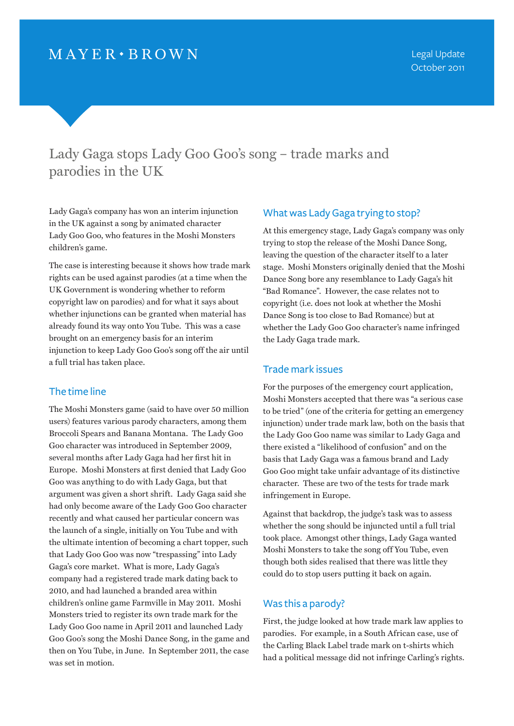# Lady Gaga stops Lady Goo Goo's song – trade marks and parodies in the UK

Lady Gaga's company has won an interim injunction in the UK against a song by animated character Lady Goo Goo, who features in the Moshi Monsters children's game.

The case is interesting because it shows how trade mark rights can be used against parodies (at a time when the UK Government is wondering whether to reform copyright law on parodies) and for what it says about whether injunctions can be granted when material has already found its way onto You Tube. This was a case brought on an emergency basis for an interim injunction to keep Lady Goo Goo's song off the air until a full trial has taken place.

## The time line

The Moshi Monsters game (said to have over 50 million users) features various parody characters, among them Broccoli Spears and Banana Montana. The Lady Goo Goo character was introduced in September 2009, several months after Lady Gaga had her first hit in Europe. Moshi Monsters at first denied that Lady Goo Goo was anything to do with Lady Gaga, but that argument was given a short shrift. Lady Gaga said she had only become aware of the Lady Goo Goo character recently and what caused her particular concern was the launch of a single, initially on You Tube and with the ultimate intention of becoming a chart topper, such that Lady Goo Goo was now "trespassing" into Lady Gaga's core market. What is more, Lady Gaga's company had a registered trade mark dating back to 2010, and had launched a branded area within children's online game Farmville in May 2011. Moshi Monsters tried to register its own trade mark for the Lady Goo Goo name in April 2011 and launched Lady Goo Goo's song the Moshi Dance Song, in the game and then on You Tube, in June. In September 2011, the case was set in motion.

## What was Lady Gaga trying to stop?

At this emergency stage, Lady Gaga's company was only trying to stop the release of the Moshi Dance Song, leaving the question of the character itself to a later stage. Moshi Monsters originally denied that the Moshi Dance Song bore any resemblance to Lady Gaga's hit "Bad Romance". However, the case relates not to copyright (i.e. does not look at whether the Moshi Dance Song is too close to Bad Romance) but at whether the Lady Goo Goo character's name infringed the Lady Gaga trade mark.

### Trade mark issues

For the purposes of the emergency court application, Moshi Monsters accepted that there was "a serious case to be tried" (one of the criteria for getting an emergency injunction) under trade mark law, both on the basis that the Lady Goo Goo name was similar to Lady Gaga and there existed a "likelihood of confusion" and on the basis that Lady Gaga was a famous brand and Lady Goo Goo might take unfair advantage of its distinctive character. These are two of the tests for trade mark infringement in Europe.

Against that backdrop, the judge's task was to assess whether the song should be injuncted until a full trial took place. Amongst other things, Lady Gaga wanted Moshi Monsters to take the song off You Tube, even though both sides realised that there was little they could do to stop users putting it back on again.

## Was this a parody?

First, the judge looked at how trade mark law applies to parodies. For example, in a South African case, use of the Carling Black Label trade mark on t-shirts which had a political message did not infringe Carling's rights.